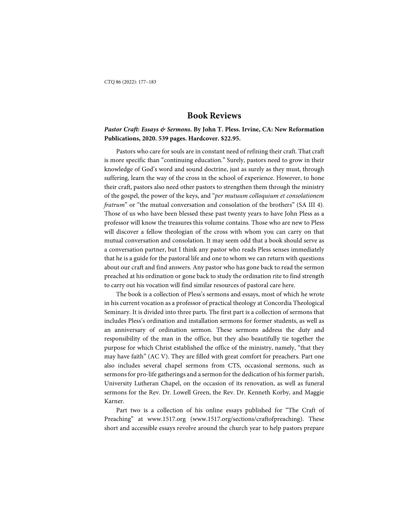### *Pastor Craft: Essays & Sermons***. By John T. Pless. Irvine, CA: New Reformation Publications, 2020. 539 pages. Hardcover. \$22.95.**

Pastors who care for souls are in constant need of refining their craft. That craft is more specific than "continuing education." Surely, pastors need to grow in their knowledge of God's word and sound doctrine, just as surely as they must, through suffering, learn the way of the cross in the school of experience. However, to hone their craft, pastors also need other pastors to strengthen them through the ministry of the gospel, the power of the keys, and "*per mutuum colloquium et consolationem fratrum*" or "the mutual conversation and consolation of the brothers" (SA III 4)*.*  Those of us who have been blessed these past twenty years to have John Pless as a professor will know the treasures this volume contains. Those who are new to Pless will discover a fellow theologian of the cross with whom you can carry on that mutual conversation and consolation. It may seem odd that a book should serve as a conversation partner, but I think any pastor who reads Pless senses immediately that he is a guide for the pastoral life and one to whom we can return with questions about our craft and find answers. Any pastor who has gone back to read the sermon preached at his ordination or gone back to study the ordination rite to find strength to carry out his vocation will find similar resources of pastoral care here.

The book is a collection of Pless's sermons and essays, most of which he wrote in his current vocation as a professor of practical theology at Concordia Theological Seminary. It is divided into three parts. The first part is a collection of sermons that includes Pless's ordination and installation sermons for former students, as well as an anniversary of ordination sermon. These sermons address the duty and responsibility of the man in the office, but they also beautifully tie together the purpose for which Christ established the office of the ministry, namely, "that they may have faith" (AC V). They are filled with great comfort for preachers. Part one also includes several chapel sermons from CTS, occasional sermons, such as sermons for pro-life gatherings and a sermon for the dedication of his former parish, University Lutheran Chapel, on the occasion of its renovation, as well as funeral sermons for the Rev. Dr. Lowell Green, the Rev. Dr. Kenneth Korby, and Maggie Karner.

Part two is a collection of his online essays published for "The Craft of Preaching" at www.1517.org (www.1517.org/sections/craftofpreaching). These short and accessible essays revolve around the church year to help pastors prepare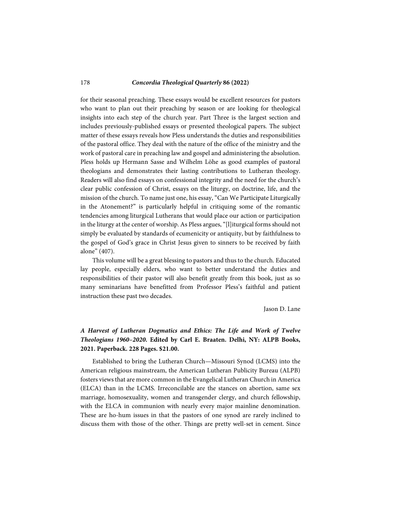### 178 *Concordia Theological Quarterly* **86 (2022)**

for their seasonal preaching. These essays would be excellent resources for pastors who want to plan out their preaching by season or are looking for theological insights into each step of the church year. Part Three is the largest section and includes previously-published essays or presented theological papers. The subject matter of these essays reveals how Pless understands the duties and responsibilities of the pastoral office. They deal with the nature of the office of the ministry and the work of pastoral care in preaching law and gospel and administering the absolution. Pless holds up Hermann Sasse and Wilhelm Löhe as good examples of pastoral theologians and demonstrates their lasting contributions to Lutheran theology. Readers will also find essays on confessional integrity and the need for the church's clear public confession of Christ, essays on the liturgy, on doctrine, life, and the mission of the church. To name just one, his essay, "Can We Participate Liturgically in the Atonement?" is particularly helpful in critiquing some of the romantic tendencies among liturgical Lutherans that would place our action or participation in the liturgy at the center of worship. As Pless argues, "[l]iturgical forms should not simply be evaluated by standards of ecumenicity or antiquity, but by faithfulness to the gospel of God's grace in Christ Jesus given to sinners to be received by faith alone" (407).

This volume will be a great blessing to pastors and thus to the church. Educated lay people, especially elders, who want to better understand the duties and responsibilities of their pastor will also benefit greatly from this book, just as so many seminarians have benefitted from Professor Pless's faithful and patient instruction these past two decades.

Jason D. Lane

# *A Harvest of Lutheran Dogmatics and Ethics: The Life and Work of Twelve Theologians 1960–2020***. Edited by Carl E. Braaten. Delhi, NY: ALPB Books, 2021. Paperback. 228 Pages. \$21.00.**

Established to bring the Lutheran Church—Missouri Synod (LCMS) into the American religious mainstream, the American Lutheran Publicity Bureau (ALPB) fosters views that are more common in the Evangelical Lutheran Church in America (ELCA) than in the LCMS. Irreconcilable are the stances on abortion, same sex marriage, homosexuality, women and transgender clergy, and church fellowship, with the ELCA in communion with nearly every major mainline denomination. These are ho-hum issues in that the pastors of one synod are rarely inclined to discuss them with those of the other. Things are pretty well-set in cement. Since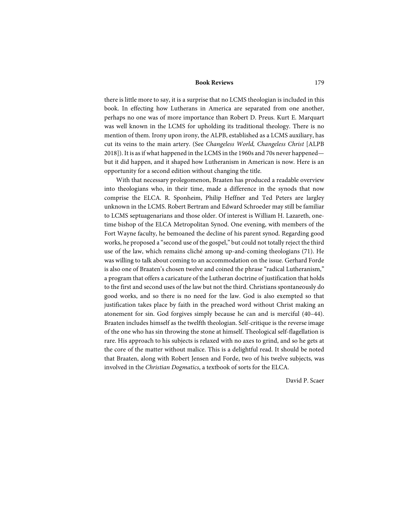there is little more to say, it is a surprise that no LCMS theologian is included in this book. In effecting how Lutherans in America are separated from one another, perhaps no one was of more importance than Robert D. Preus. Kurt E. Marquart was well known in the LCMS for upholding its traditional theology. There is no mention of them. Irony upon irony, the ALPB, established as a LCMS auxiliary, has cut its veins to the main artery. (See *Changeless World, Changeless Christ* [ALPB 2018]). It is as if what happened in the LCMS in the 1960s and 70s never happened but it did happen, and it shaped how Lutheranism in American is now. Here is an opportunity for a second edition without changing the title.

With that necessary prolegomenon, Braaten has produced a readable overview into theologians who, in their time, made a difference in the synods that now comprise the ELCA. R. Sponheim, Philip Heffner and Ted Peters are largley unknown in the LCMS. Robert Bertram and Edward Schroeder may still be familiar to LCMS septuagenarians and those older. Of interest is William H. Lazareth, onetime bishop of the ELCA Metropolitan Synod. One evening, with members of the Fort Wayne faculty, he bemoaned the decline of his parent synod. Regarding good works, he proposed a "second use of the gospel," but could not totally reject the third use of the law, which remains cliché among up-and-coming theologians (71). He was willing to talk about coming to an accommodation on the issue. Gerhard Forde is also one of Braaten's chosen twelve and coined the phrase "radical Lutheranism," a program that offers a caricature of the Lutheran doctrine of justification that holds to the first and second uses of the law but not the third. Christians spontaneously do good works, and so there is no need for the law. God is also exempted so that justification takes place by faith in the preached word without Christ making an atonement for sin. God forgives simply because he can and is merciful (40–44). Braaten includes himself as the twelfth theologian. Self-critique is the reverse image of the one who has sin throwing the stone at himself. Theological self-flagellation is rare. His approach to his subjects is relaxed with no axes to grind, and so he gets at the core of the matter without malice. This is a delightful read. It should be noted that Braaten, along with Robert Jensen and Forde, two of his twelve subjects, was involved in the *Christian Dogmatics*, a textbook of sorts for the ELCA.

David P. Scaer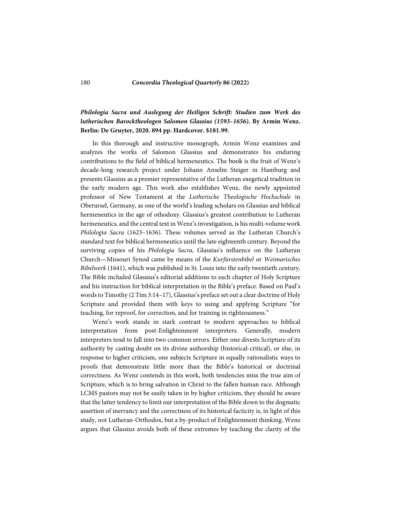#### 180 *Concordia Theological Quarterly* **86 (2022)**

## *Philologia Sacra und Auslegung der Heiligen Schrift: Studien zum Werk des lutherischen Barocktheologen Salomon Glassius (1593–1656)***. By Armin Wenz. Berlin: De Gruyter, 2020. 894 pp. Hardcover. \$181.99.**

In this thorough and instructive monograph, Armin Wenz examines and analyzes the works of Salomon Glassius and demonstrates his enduring contributions to the field of biblical hermeneutics. The book is the fruit of Wenz's decade-long research project under Johann Anselm Steiger in Hamburg and presents Glassius as a premier representative of the Lutheran exegetical tradition in the early modern age. This work also establishes Wenz, the newly appointed professor of New Testament at the *Lutherische Theologische Hochschule* in Oberursel, Germany, as one of the world's leading scholars on Glassius and biblical hermeneutics in the age of othodoxy. Glassius's greatest contribution to Lutheran hermeneutics, and the central text in Wenz's investigation, is his multi-volume work *Philologia Sacra* (1623–1636). These volumes served as the Lutheran Church's standard text for biblical hermeneutics until the late eighteenth century. Beyond the surviving copies of his *Philologia Sacra*, Glassius's influence on the Lutheran Church—Missouri Synod came by means of the *Kurfürstenbibel* or *Weimarisches Bibelwerk* (1641), which was published in St. Louis into the early twentieth century. The Bible included Glassius's editorial additions to each chapter of Holy Scripture and his instruction for biblical interpretation in the Bible's preface. Based on Paul's words to Timothy (2 Tim 3:14–17), Glassius's preface set out a clear doctrine of Holy Scripture and provided them with keys to using and applying Scripture "for teaching, for reproof, for correction, and for training in righteousness."

Wenz's work stands in stark contrast to modern approaches to biblical interpretation from post-Enlightenment interpreters. Generally, modern interpreters tend to fall into two common errors. Either one divests Scripture of its authority by casting doubt on its divine authorship (historical-critical), or else, in response to higher criticism, one subjects Scripture in equally rationalistic ways to proofs that demonstrate little more than the Bible's historical or doctrinal correctness. As Wenz contends in this work, both tendencies miss the true aim of Scripture, which is to bring salvation in Christ to the fallen human race. Although LCMS pastors may not be easily taken in by higher criticism, they should be aware that the latter tendency to limit our interpretation of the Bible down to the dogmatic assertion of inerrancy and the correctness of its historical facticity is, in light of this study, not Lutheran-Orthodox, but a by-product of Enlightenment thinking. Wenz argues that Glassius avoids both of these extremes by teaching the clarity of the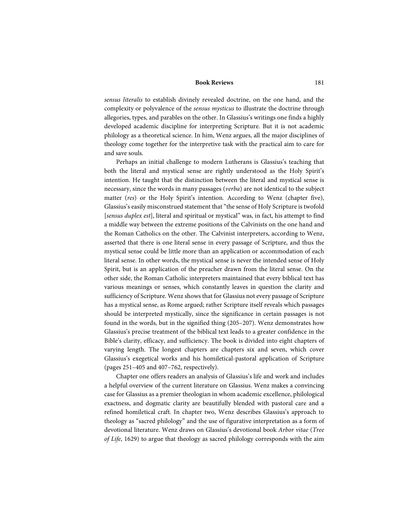*sensus literalis* to establish divinely revealed doctrine, on the one hand, and the complexity or polyvalence of the *sensus mysticus* to illustrate the doctrine through allegories, types, and parables on the other. In Glassius's writings one finds a highly developed academic discipline for interpreting Scripture. But it is not academic philology as a theoretical science. In him, Wenz argues, all the major disciplines of theology come together for the interpretive task with the practical aim to care for and save souls.

Perhaps an initial challenge to modern Lutherans is Glassius's teaching that both the literal and mystical sense are rightly understood as the Holy Spirit's intention. He taught that the distinction between the literal and mystical sense is necessary, since the words in many passages (*verba*) are not identical to the subject matter (*res*) or the Holy Spirit's intention*.* According to Wenz (chapter five), Glassius's easily misconstrued statement that "the sense of Holy Scripture is twofold [*sensus duplex est*], literal and spiritual or mystical" was, in fact, his attempt to find a middle way between the extreme positions of the Calvinists on the one hand and the Roman Catholics on the other. The Calvinist interpreters, according to Wenz, asserted that there is one literal sense in every passage of Scripture, and thus the mystical sense could be little more than an application or accommodation of each literal sense. In other words, the mystical sense is never the intended sense of Holy Spirit, but is an application of the preacher drawn from the literal sense. On the other side, the Roman Catholic interpreters maintained that every biblical text has various meanings or senses, which constantly leaves in question the clarity and sufficiency of Scripture. Wenz shows that for Glassius not every passage of Scripture has a mystical sense, as Rome argued; rather Scripture itself reveals which passages should be interpreted mystically, since the significance in certain passages is not found in the words, but in the signified thing (205–207). Wenz demonstrates how Glassius's precise treatment of the biblical text leads to a greater confidence in the Bible's clarity, efficacy, and sufficiency. The book is divided into eight chapters of varying length. The longest chapters are chapters six and seven, which cover Glassius's exegetical works and his homiletical-pastoral application of Scripture (pages 251–405 and 407–762, respectively).

Chapter one offers readers an analysis of Glassius's life and work and includes a helpful overview of the current literature on Glassius. Wenz makes a convincing case for Glassius as a premier theologian in whom academic excellence, philological exactness, and dogmatic clarity are beautifully blended with pastoral care and a refined homiletical craft. In chapter two, Wenz describes Glassius's approach to theology as "sacred philology" and the use of figurative interpretation as a form of devotional literature. Wenz draws on Glassius's devotional book *Arbor vitae* (*Tree of Life*, 1629) to argue that theology as sacred philology corresponds with the aim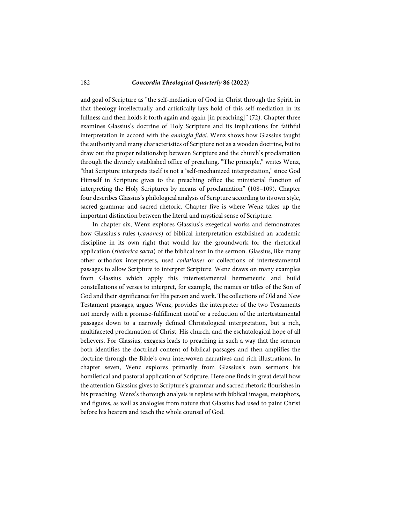### 182 *Concordia Theological Quarterly* **86 (2022)**

and goal of Scripture as "the self-mediation of God in Christ through the Spirit, in that theology intellectually and artistically lays hold of this self-mediation in its fullness and then holds it forth again and again [in preaching]" (72). Chapter three examines Glassius's doctrine of Holy Scripture and its implications for faithful interpretation in accord with the *analogia fidei*. Wenz shows how Glassius taught the authority and many characteristics of Scripture not as a wooden doctrine, but to draw out the proper relationship between Scripture and the church's proclamation through the divinely established office of preaching. "The principle," writes Wenz, "that Scripture interprets itself is not a 'self-mechanized interpretation,' since God Himself in Scripture gives to the preaching office the ministerial function of interpreting the Holy Scriptures by means of proclamation" (108–109). Chapter four describes Glassius's philological analysis of Scripture according to its own style, sacred grammar and sacred rhetoric. Chapter five is where Wenz takes up the important distinction between the literal and mystical sense of Scripture.

In chapter six, Wenz explores Glassius's exegetical works and demonstrates how Glassius's rules (*canones*) of biblical interpretation established an academic discipline in its own right that would lay the groundwork for the rhetorical application (*rhetorica sacra*) of the biblical text in the sermon. Glassius, like many other orthodox interpreters, used *collationes* or collections of intertestamental passages to allow Scripture to interpret Scripture. Wenz draws on many examples from Glassius which apply this intertestamental hermeneutic and build constellations of verses to interpret, for example, the names or titles of the Son of God and their significance for His person and work. The collections of Old and New Testament passages, argues Wenz, provides the interpreter of the two Testaments not merely with a promise-fulfillment motif or a reduction of the intertestamental passages down to a narrowly defined Christological interpretation, but a rich, multifaceted proclamation of Christ, His church, and the eschatological hope of all believers. For Glassius, exegesis leads to preaching in such a way that the sermon both identifies the doctrinal content of biblical passages and then amplifies the doctrine through the Bible's own interwoven narratives and rich illustrations. In chapter seven, Wenz explores primarily from Glassius's own sermons his homiletical and pastoral application of Scripture. Here one finds in great detail how the attention Glassius gives to Scripture's grammar and sacred rhetoric flourishes in his preaching. Wenz's thorough analysis is replete with biblical images, metaphors, and figures, as well as analogies from nature that Glassius had used to paint Christ before his hearers and teach the whole counsel of God.